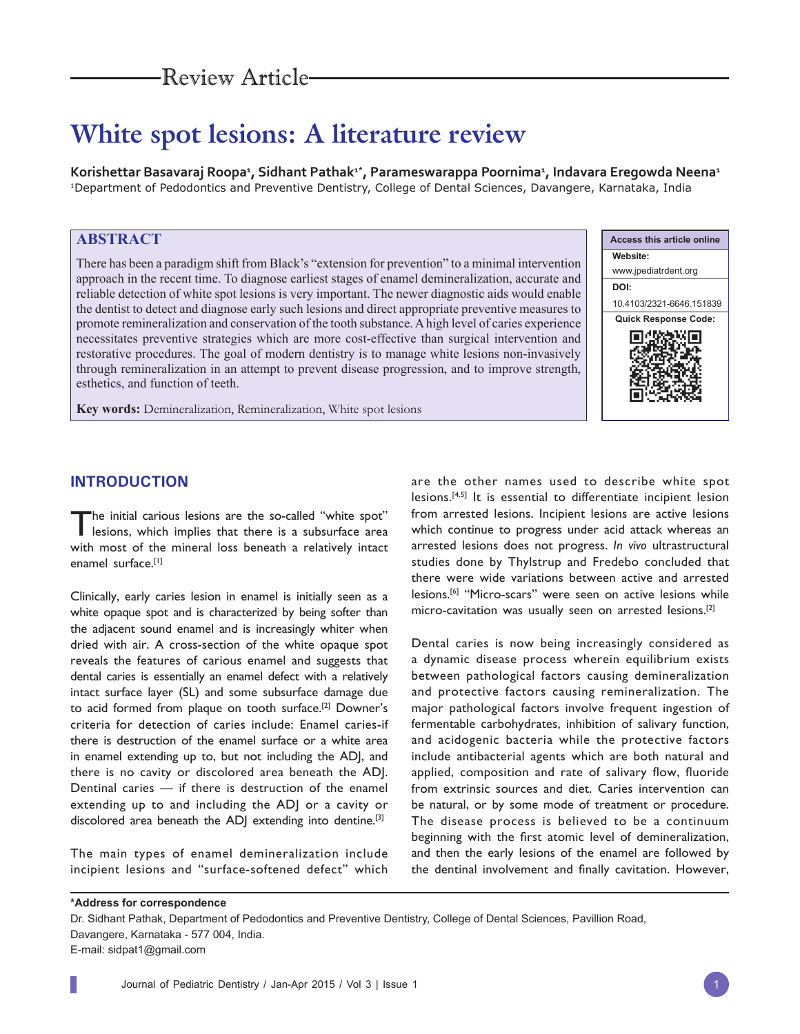# **White spot lesions: A literature review**

Korishettar Basavaraj Roopa<del>1</del>, Sidhant Pathak<sup>1\*</sup>, Parameswarappa Poornima<del>1</del>, Indavara Eregowda Neena<del>1</del> 1Department of Pedodontics and Preventive Dentistry, College of Dental Sciences, Davangere, Karnataka, India

# **ABSTRACT**

There has been a paradigm shift from Black's "extension for prevention" to a minimal intervention approach in the recent time. To diagnose earliest stages of enamel demineralization, accurate and reliable detection of white spot lesions is very important. The newer diagnostic aids would enable the dentist to detect and diagnose early such lesions and direct appropriate preventive measures to promote remineralization and conservation of the tooth substance. A high level of caries experience necessitates preventive strategies which are more cost-effective than surgical intervention and restorative procedures. The goal of modern dentistry is to manage white lesions non-invasively through remineralization in an attempt to prevent disease progression, and to improve strength, esthetics, and function of teeth.

**Key words:** Demineralization, Remineralization, White spot lesions



## **INTRODUCTION**

The initial carious lesions are the so-called "white spot" lesions, which implies that there is a subsurface area with most of the mineral loss beneath a relatively intact enamel surface.[1]

Clinically, early caries lesion in enamel is initially seen as a white opaque spot and is characterized by being softer than the adjacent sound enamel and is increasingly whiter when dried with air. A cross-section of the white opaque spot reveals the features of carious enamel and suggests that dental caries is essentially an enamel defect with a relatively intact surface layer (SL) and some subsurface damage due to acid formed from plaque on tooth surface.[2] Downer's criteria for detection of caries include: Enamel caries-if there is destruction of the enamel surface or a white area in enamel extending up to, but not including the ADJ, and there is no cavity or discolored area beneath the ADJ. Dentinal caries — if there is destruction of the enamel extending up to and including the ADJ or a cavity or discolored area beneath the ADJ extending into dentine.<sup>[3]</sup>

The main types of enamel demineralization include incipient lesions and "surface-softened defect" which

are the other names used to describe white spot lesions.[4,5] It is essential to differentiate incipient lesion from arrested lesions. Incipient lesions are active lesions which continue to progress under acid attack whereas an arrested lesions does not progress. *In vivo* ultrastructural studies done by Thylstrup and Fredebo concluded that there were wide variations between active and arrested lesions.[6] "Micro-scars" were seen on active lesions while micro-cavitation was usually seen on arrested lesions.[2]

Dental caries is now being increasingly considered as a dynamic disease process wherein equilibrium exists between pathological factors causing demineralization and protective factors causing remineralization. The major pathological factors involve frequent ingestion of fermentable carbohydrates, inhibition of salivary function, and acidogenic bacteria while the protective factors include antibacterial agents which are both natural and applied, composition and rate of salivary flow, fluoride from extrinsic sources and diet. Caries intervention can be natural, or by some mode of treatment or procedure. The disease process is believed to be a continuum beginning with the first atomic level of demineralization, and then the early lesions of the enamel are followed by the dentinal involvement and finally cavitation. However,

**\*Address for correspondence**

Dr. Sidhant Pathak, Department of Pedodontics and Preventive Dentistry, College of Dental Sciences, Pavillion Road, Davangere, Karnataka - 577 004, India.

E-mail: sidpat1@gmail.com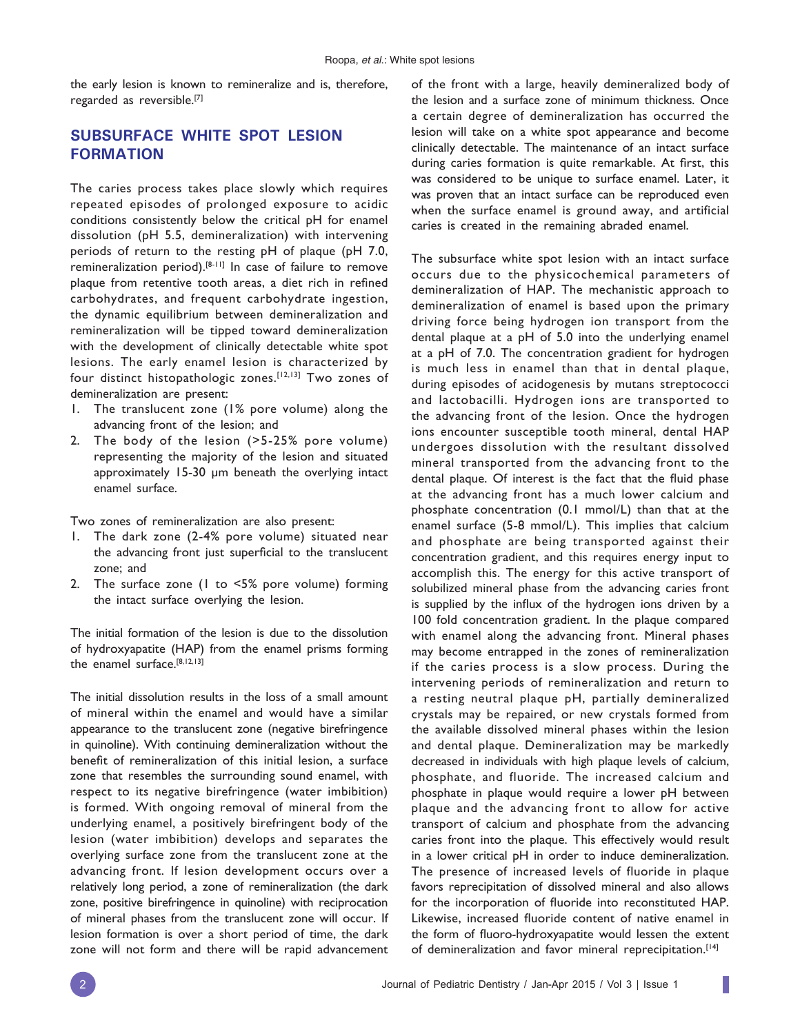the early lesion is known to remineralize and is, therefore, regarded as reversible.[7]

# **SUBSURFACE WHITE SPOT LESION FORMATION**

The caries process takes place slowly which requires repeated episodes of prolonged exposure to acidic conditions consistently below the critical pH for enamel dissolution (pH 5.5, demineralization) with intervening periods of return to the resting pH of plaque (pH 7.0, remineralization period).[8-11] In case of failure to remove plaque from retentive tooth areas, a diet rich in refined carbohydrates, and frequent carbohydrate ingestion, the dynamic equilibrium between demineralization and remineralization will be tipped toward demineralization with the development of clinically detectable white spot lesions. The early enamel lesion is characterized by four distinct histopathologic zones.[12,13] Two zones of demineralization are present:

- 1. The translucent zone (1% pore volume) along the advancing front of the lesion; and
- 2. The body of the lesion (>5-25% pore volume) representing the majority of the lesion and situated approximately 15-30 μm beneath the overlying intact enamel surface.

Two zones of remineralization are also present:

- 1. The dark zone (2-4% pore volume) situated near the advancing front just superficial to the translucent zone; and
- 2. The surface zone (1 to <5% pore volume) forming the intact surface overlying the lesion.

The initial formation of the lesion is due to the dissolution of hydroxyapatite (HAP) from the enamel prisms forming the enamel surface.[8,12,13]

The initial dissolution results in the loss of a small amount of mineral within the enamel and would have a similar appearance to the translucent zone (negative birefringence in quinoline). With continuing demineralization without the benefit of remineralization of this initial lesion, a surface zone that resembles the surrounding sound enamel, with respect to its negative birefringence (water imbibition) is formed. With ongoing removal of mineral from the underlying enamel, a positively birefringent body of the lesion (water imbibition) develops and separates the overlying surface zone from the translucent zone at the advancing front. If lesion development occurs over a relatively long period, a zone of remineralization (the dark zone, positive birefringence in quinoline) with reciprocation of mineral phases from the translucent zone will occur. If lesion formation is over a short period of time, the dark zone will not form and there will be rapid advancement

of the front with a large, heavily demineralized body of the lesion and a surface zone of minimum thickness. Once a certain degree of demineralization has occurred the lesion will take on a white spot appearance and become clinically detectable. The maintenance of an intact surface during caries formation is quite remarkable. At first, this was considered to be unique to surface enamel. Later, it was proven that an intact surface can be reproduced even when the surface enamel is ground away, and artificial caries is created in the remaining abraded enamel.

The subsurface white spot lesion with an intact surface occurs due to the physicochemical parameters of demineralization of HAP. The mechanistic approach to demineralization of enamel is based upon the primary driving force being hydrogen ion transport from the dental plaque at a pH of 5.0 into the underlying enamel at a pH of 7.0. The concentration gradient for hydrogen is much less in enamel than that in dental plaque, during episodes of acidogenesis by mutans streptococci and lactobacilli. Hydrogen ions are transported to the advancing front of the lesion. Once the hydrogen ions encounter susceptible tooth mineral, dental HAP undergoes dissolution with the resultant dissolved mineral transported from the advancing front to the dental plaque. Of interest is the fact that the fluid phase at the advancing front has a much lower calcium and phosphate concentration (0.1 mmol/L) than that at the enamel surface (5-8 mmol/L). This implies that calcium and phosphate are being transported against their concentration gradient, and this requires energy input to accomplish this. The energy for this active transport of solubilized mineral phase from the advancing caries front is supplied by the influx of the hydrogen ions driven by a 100 fold concentration gradient. In the plaque compared with enamel along the advancing front. Mineral phases may become entrapped in the zones of remineralization if the caries process is a slow process. During the intervening periods of remineralization and return to a resting neutral plaque pH, partially demineralized crystals may be repaired, or new crystals formed from the available dissolved mineral phases within the lesion and dental plaque. Demineralization may be markedly decreased in individuals with high plaque levels of calcium, phosphate, and fluoride. The increased calcium and phosphate in plaque would require a lower pH between plaque and the advancing front to allow for active transport of calcium and phosphate from the advancing caries front into the plaque. This effectively would result in a lower critical pH in order to induce demineralization. The presence of increased levels of fluoride in plaque favors reprecipitation of dissolved mineral and also allows for the incorporation of fluoride into reconstituted HAP. Likewise, increased fluoride content of native enamel in the form of fluoro-hydroxyapatite would lessen the extent of demineralization and favor mineral reprecipitation.<sup>[14]</sup>

I.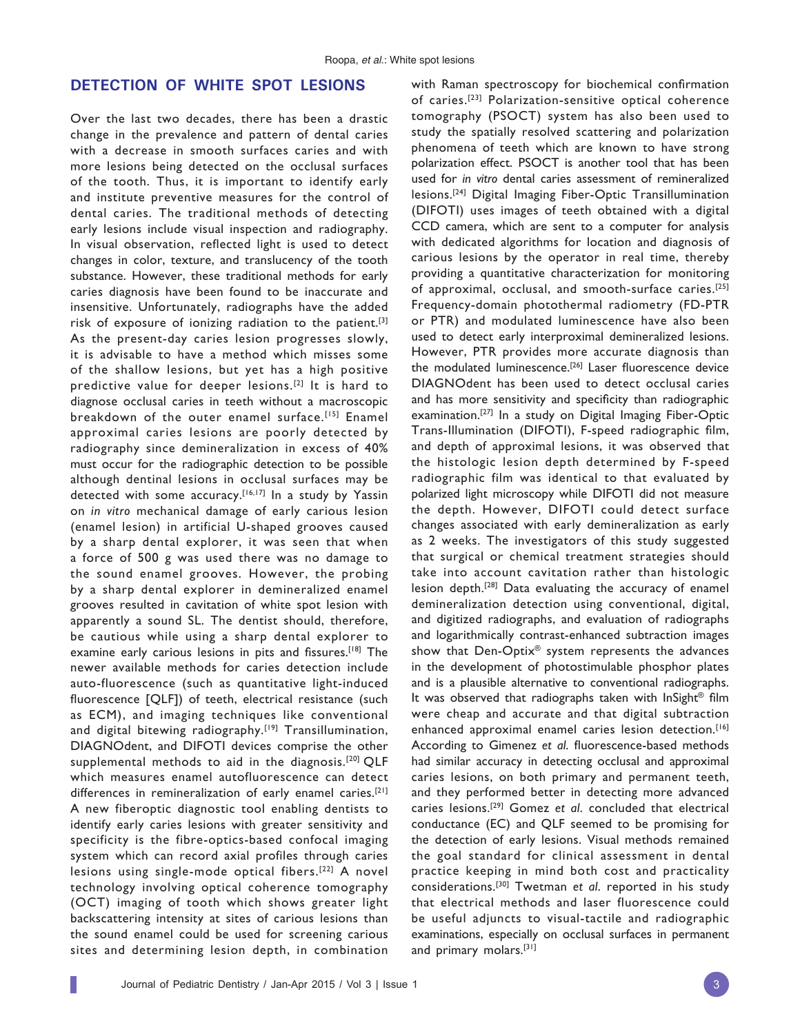## **DETECTION OF WHITE SPOT LESIONS**

Over the last two decades, there has been a drastic change in the prevalence and pattern of dental caries with a decrease in smooth surfaces caries and with more lesions being detected on the occlusal surfaces of the tooth. Thus, it is important to identify early and institute preventive measures for the control of dental caries. The traditional methods of detecting early lesions include visual inspection and radiography. In visual observation, reflected light is used to detect changes in color, texture, and translucency of the tooth substance. However, these traditional methods for early caries diagnosis have been found to be inaccurate and insensitive. Unfortunately, radiographs have the added risk of exposure of ionizing radiation to the patient.<sup>[3]</sup> As the present-day caries lesion progresses slowly, it is advisable to have a method which misses some of the shallow lesions, but yet has a high positive predictive value for deeper lesions.<sup>[2]</sup> It is hard to diagnose occlusal caries in teeth without a macroscopic breakdown of the outer enamel surface.<sup>[15]</sup> Enamel approximal caries lesions are poorly detected by radiography since demineralization in excess of 40% must occur for the radiographic detection to be possible although dentinal lesions in occlusal surfaces may be detected with some accuracy.<sup>[16,17]</sup> In a study by Yassin on *in vitro* mechanical damage of early carious lesion (enamel lesion) in artificial U-shaped grooves caused by a sharp dental explorer, it was seen that when a force of 500 g was used there was no damage to the sound enamel grooves. However, the probing by a sharp dental explorer in demineralized enamel grooves resulted in cavitation of white spot lesion with apparently a sound SL. The dentist should, therefore, be cautious while using a sharp dental explorer to examine early carious lesions in pits and fissures.<sup>[18]</sup> The newer available methods for caries detection include auto-fluorescence (such as quantitative light-induced fluorescence [QLF]) of teeth, electrical resistance (such as ECM), and imaging techniques like conventional and digital bitewing radiography.<sup>[19]</sup> Transillumination, DIAGNOdent, and DIFOTI devices comprise the other supplemental methods to aid in the diagnosis.<sup>[20]</sup> QLF which measures enamel autofluorescence can detect differences in remineralization of early enamel caries.[21] A new fiberoptic diagnostic tool enabling dentists to identify early caries lesions with greater sensitivity and specificity is the fibre-optics-based confocal imaging system which can record axial profiles through caries lesions using single-mode optical fibers.[22] A novel technology involving optical coherence tomography (OCT) imaging of tooth which shows greater light backscattering intensity at sites of carious lesions than the sound enamel could be used for screening carious sites and determining lesion depth, in combination

Journal of Pediatric Dentistry / Jan-Apr 2015 / Vol 3 | Issue 1 3

with Raman spectroscopy for biochemical confirmation of caries.[23] Polarization-sensitive optical coherence tomography (PSOCT) system has also been used to study the spatially resolved scattering and polarization phenomena of teeth which are known to have strong polarization effect. PSOCT is another tool that has been used for *in vitro* dental caries assessment of remineralized lesions.[24] Digital Imaging Fiber-Optic Transillumination (DIFOTI) uses images of teeth obtained with a digital CCD camera, which are sent to a computer for analysis with dedicated algorithms for location and diagnosis of carious lesions by the operator in real time, thereby providing a quantitative characterization for monitoring of approximal, occlusal, and smooth-surface caries.[25] Frequency-domain photothermal radiometry (FD-PTR or PTR) and modulated luminescence have also been used to detect early interproximal demineralized lesions. However, PTR provides more accurate diagnosis than the modulated luminescence.<sup>[26]</sup> Laser fluorescence device DIAGNOdent has been used to detect occlusal caries and has more sensitivity and specificity than radiographic examination.[27] In a study on Digital Imaging Fiber-Optic Trans-Illumination (DIFOTI), F-speed radiographic film, and depth of approximal lesions, it was observed that the histologic lesion depth determined by F-speed radiographic film was identical to that evaluated by polarized light microscopy while DIFOTI did not measure the depth. However, DIFOTI could detect surface changes associated with early demineralization as early as 2 weeks. The investigators of this study suggested that surgical or chemical treatment strategies should take into account cavitation rather than histologic lesion depth.[28] Data evaluating the accuracy of enamel demineralization detection using conventional, digital, and digitized radiographs, and evaluation of radiographs and logarithmically contrast-enhanced subtraction images show that Den-Optix® system represents the advances in the development of photostimulable phosphor plates and is a plausible alternative to conventional radiographs. It was observed that radiographs taken with  $\ln$ Sight<sup>®</sup> film were cheap and accurate and that digital subtraction enhanced approximal enamel caries lesion detection.<sup>[16]</sup> According to Gimenez et al. fluorescence-based methods had similar accuracy in detecting occlusal and approximal caries lesions, on both primary and permanent teeth, and they performed better in detecting more advanced caries lesions.[29] Gomez *et al*. concluded that electrical conductance (EC) and QLF seemed to be promising for the detection of early lesions. Visual methods remained the goal standard for clinical assessment in dental practice keeping in mind both cost and practicality considerations.[30] Twetman *et al*. reported in his study that electrical methods and laser fluorescence could be useful adjuncts to visual-tactile and radiographic examinations, especially on occlusal surfaces in permanent and primary molars.<sup>[31]</sup>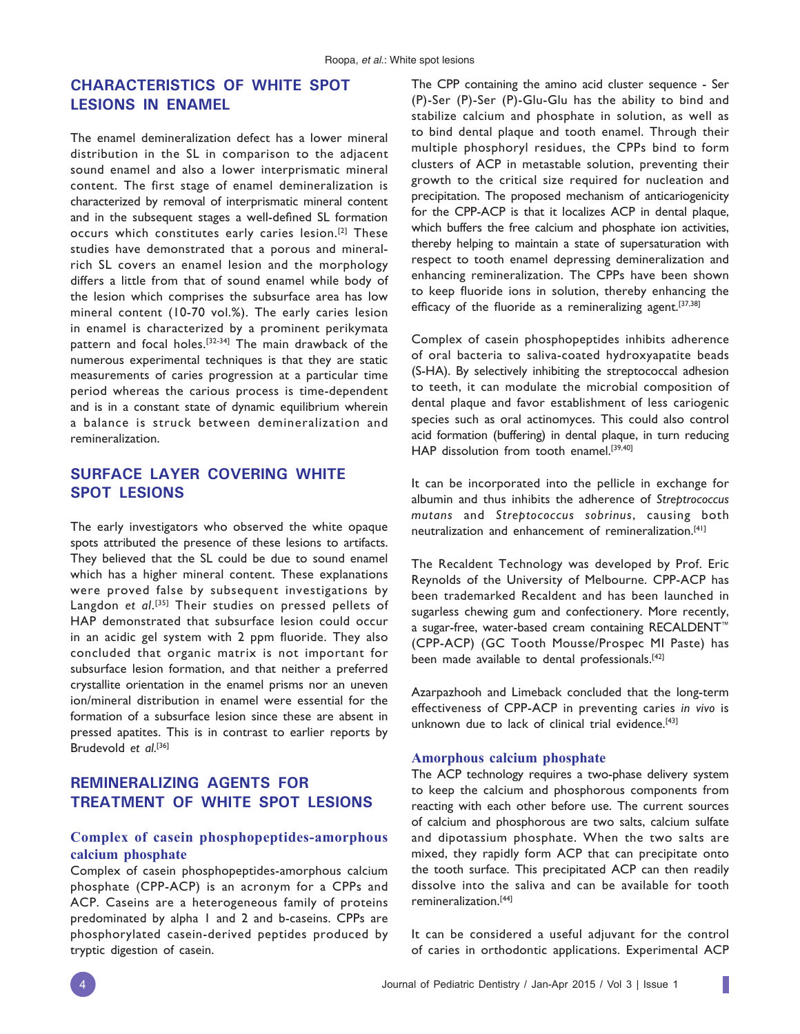# **CHARACTERISTICS OF WHITE SPOT LESIONS IN ENAMEL**

The enamel demineralization defect has a lower mineral distribution in the SL in comparison to the adjacent sound enamel and also a lower interprismatic mineral content. The first stage of enamel demineralization is characterized by removal of interprismatic mineral content and in the subsequent stages a well-defined SL formation occurs which constitutes early caries lesion.[2] These studies have demonstrated that a porous and mineralrich SL covers an enamel lesion and the morphology differs a little from that of sound enamel while body of the lesion which comprises the subsurface area has low mineral content (10-70 vol.%). The early caries lesion in enamel is characterized by a prominent perikymata pattern and focal holes.<sup>[32-34]</sup> The main drawback of the numerous experimental techniques is that they are static measurements of caries progression at a particular time period whereas the carious process is time-dependent and is in a constant state of dynamic equilibrium wherein a balance is struck between demineralization and remineralization.

# **SURFACE LAYER COVERING WHITE SPOT LESIONS**

The early investigators who observed the white opaque spots attributed the presence of these lesions to artifacts. They believed that the SL could be due to sound enamel which has a higher mineral content. These explanations were proved false by subsequent investigations by Langdon *et al*. [35] Their studies on pressed pellets of HAP demonstrated that subsurface lesion could occur in an acidic gel system with 2 ppm fluoride. They also concluded that organic matrix is not important for subsurface lesion formation, and that neither a preferred crystallite orientation in the enamel prisms nor an uneven ion/mineral distribution in enamel were essential for the formation of a subsurface lesion since these are absent in pressed apatites. This is in contrast to earlier reports by Brudevold *et al*. [36]

# **REMINERALIZING AGENTS FOR TREATMENT OF WHITE SPOT LESIONS**

## **Complex of casein phosphopeptides-amorphous calcium phosphate**

Complex of casein phosphopeptides-amorphous calcium phosphate (CPP-ACP) is an acronym for a CPPs and ACP. Caseins are a heterogeneous family of proteins predominated by alpha 1 and 2 and b-caseins. CPPs are phosphorylated casein-derived peptides produced by tryptic digestion of casein.

The CPP containing the amino acid cluster sequence - Ser (P)-Ser (P)-Ser (P)-Glu-Glu has the ability to bind and stabilize calcium and phosphate in solution, as well as to bind dental plaque and tooth enamel. Through their multiple phosphoryl residues, the CPPs bind to form clusters of ACP in metastable solution, preventing their growth to the critical size required for nucleation and precipitation. The proposed mechanism of anticariogenicity for the CPP-ACP is that it localizes ACP in dental plaque, which buffers the free calcium and phosphate ion activities, thereby helping to maintain a state of supersaturation with respect to tooth enamel depressing demineralization and enhancing remineralization. The CPPs have been shown to keep fluoride ions in solution, thereby enhancing the efficacy of the fluoride as a remineralizing agent.<sup>[37,38]</sup>

Complex of casein phosphopeptides inhibits adherence of oral bacteria to saliva-coated hydroxyapatite beads (S-HA). By selectively inhibiting the streptococcal adhesion to teeth, it can modulate the microbial composition of dental plaque and favor establishment of less cariogenic species such as oral actinomyces. This could also control acid formation (buffering) in dental plaque, in turn reducing HAP dissolution from tooth enamel.<sup>[39,40]</sup>

It can be incorporated into the pellicle in exchange for albumin and thus inhibits the adherence of *Streptrococcus mutans* and *Streptococcus sobrinus*, causing both neutralization and enhancement of remineralization.[41]

The Recaldent Technology was developed by Prof. Eric Reynolds of the University of Melbourne. CPP-ACP has been trademarked Recaldent and has been launched in sugarless chewing gum and confectionery. More recently, a sugar-free, water-based cream containing RECALDENT™ (CPP-ACP) (GC Tooth Mousse/Prospec MI Paste) has been made available to dental professionals.<sup>[42]</sup>

Azarpazhooh and Limeback concluded that the long-term effectiveness of CPP-ACP in preventing caries *in vivo* is unknown due to lack of clinical trial evidence.<sup>[43]</sup>

#### **Amorphous calcium phosphate**

The ACP technology requires a two-phase delivery system to keep the calcium and phosphorous components from reacting with each other before use. The current sources of calcium and phosphorous are two salts, calcium sulfate and dipotassium phosphate. When the two salts are mixed, they rapidly form ACP that can precipitate onto the tooth surface. This precipitated ACP can then readily dissolve into the saliva and can be available for tooth remineralization.[44]

It can be considered a useful adjuvant for the control of caries in orthodontic applications. Experimental ACP

I.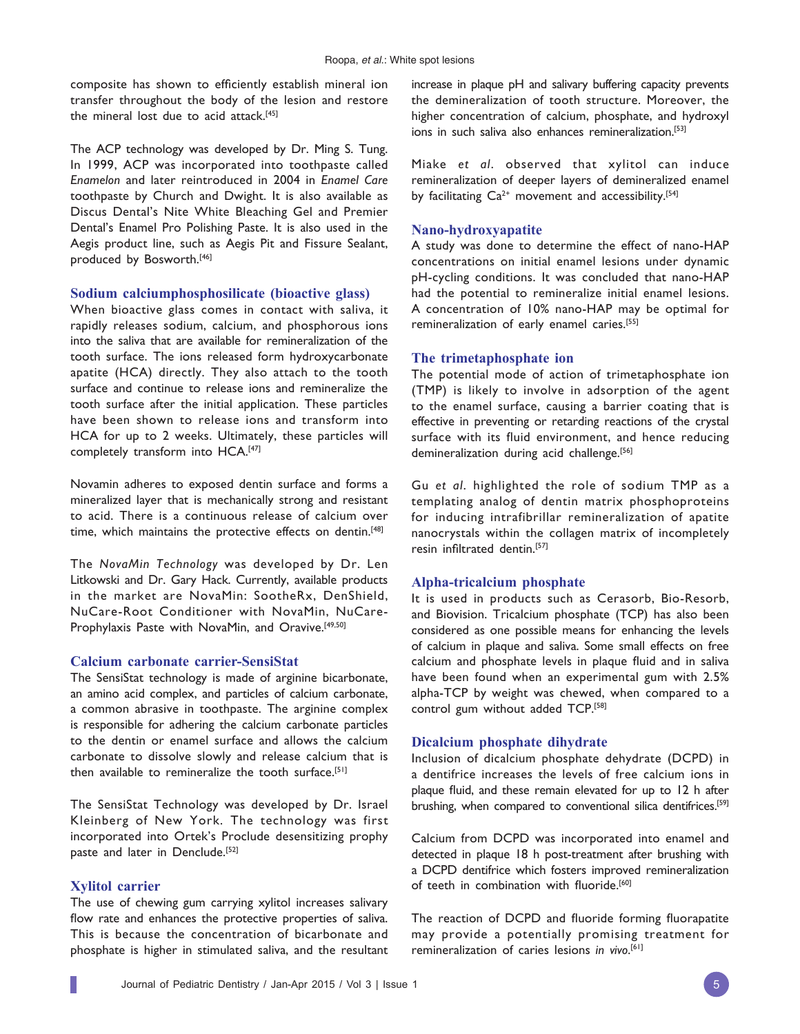composite has shown to efficiently establish mineral ion transfer throughout the body of the lesion and restore the mineral lost due to acid attack.[45]

The ACP technology was developed by Dr. Ming S. Tung. In 1999, ACP was incorporated into toothpaste called *Enamelon* and later reintroduced in 2004 in *Enamel Care*  toothpaste by Church and Dwight. It is also available as Discus Dental's Nite White Bleaching Gel and Premier Dental's Enamel Pro Polishing Paste. It is also used in the Aegis product line, such as Aegis Pit and Fissure Sealant, produced by Bosworth.[46]

#### **Sodium calciumphosphosilicate (bioactive glass)**

When bioactive glass comes in contact with saliva, it rapidly releases sodium, calcium, and phosphorous ions into the saliva that are available for remineralization of the tooth surface. The ions released form hydroxycarbonate apatite (HCA) directly. They also attach to the tooth surface and continue to release ions and remineralize the tooth surface after the initial application. These particles have been shown to release ions and transform into HCA for up to 2 weeks. Ultimately, these particles will completely transform into HCA.<sup>[47]</sup>

Novamin adheres to exposed dentin surface and forms a mineralized layer that is mechanically strong and resistant to acid. There is a continuous release of calcium over time, which maintains the protective effects on dentin.<sup>[48]</sup>

The *NovaMin Technology* was developed by Dr. Len Litkowski and Dr. Gary Hack. Currently, available products in the market are NovaMin: SootheRx, DenShield, NuCare-Root Conditioner with NovaMin, NuCare-Prophylaxis Paste with NovaMin, and Oravive.<sup>[49,50]</sup>

#### **Calcium carbonate carrier-SensiStat**

The SensiStat technology is made of arginine bicarbonate, an amino acid complex, and particles of calcium carbonate, a common abrasive in toothpaste. The arginine complex is responsible for adhering the calcium carbonate particles to the dentin or enamel surface and allows the calcium carbonate to dissolve slowly and release calcium that is then available to remineralize the tooth surface.<sup>[51]</sup>

The SensiStat Technology was developed by Dr. Israel Kleinberg of New York. The technology was first incorporated into Ortek's Proclude desensitizing prophy paste and later in Denclude.<sup>[52]</sup>

#### **Xylitol carrier**

The use of chewing gum carrying xylitol increases salivary flow rate and enhances the protective properties of saliva. This is because the concentration of bicarbonate and phosphate is higher in stimulated saliva, and the resultant increase in plaque pH and salivary buffering capacity prevents the demineralization of tooth structure. Moreover, the higher concentration of calcium, phosphate, and hydroxyl ions in such saliva also enhances remineralization.<sup>[53]</sup>

Miake *et al*. observed that xylitol can induce remineralization of deeper layers of demineralized enamel by facilitating  $Ca^{2+}$  movement and accessibility.<sup>[54]</sup>

#### **Nano-hydroxyapatite**

A study was done to determine the effect of nano-HAP concentrations on initial enamel lesions under dynamic pH-cycling conditions. It was concluded that nano-HAP had the potential to remineralize initial enamel lesions. A concentration of 10% nano-HAP may be optimal for remineralization of early enamel caries.[55]

#### **The trimetaphosphate ion**

The potential mode of action of trimetaphosphate ion (TMP) is likely to involve in adsorption of the agent to the enamel surface, causing a barrier coating that is effective in preventing or retarding reactions of the crystal surface with its fluid environment, and hence reducing demineralization during acid challenge.<sup>[56]</sup>

Gu *et al*. highlighted the role of sodium TMP as a templating analog of dentin matrix phosphoproteins for inducing intrafibrillar remineralization of apatite nanocrystals within the collagen matrix of incompletely resin infiltrated dentin.<sup>[57]</sup>

### **Alpha-tricalcium phosphate**

It is used in products such as Cerasorb, Bio-Resorb, and Biovision. Tricalcium phosphate (TCP) has also been considered as one possible means for enhancing the levels of calcium in plaque and saliva. Some small effects on free calcium and phosphate levels in plaque fluid and in saliva have been found when an experimental gum with 2.5% alpha-TCP by weight was chewed, when compared to a control gum without added TCP.[58]

#### **Dicalcium phosphate dihydrate**

Inclusion of dicalcium phosphate dehydrate (DCPD) in a dentifrice increases the levels of free calcium ions in plaque fluid, and these remain elevated for up to 12 h after brushing, when compared to conventional silica dentifrices.<sup>[59]</sup>

Calcium from DCPD was incorporated into enamel and detected in plaque 18 h post-treatment after brushing with a DCPD dentifrice which fosters improved remineralization of teeth in combination with fluoride.<sup>[60]</sup>

The reaction of DCPD and fluoride forming fluorapatite may provide a potentially promising treatment for remineralization of caries lesions *in vivo*. [61]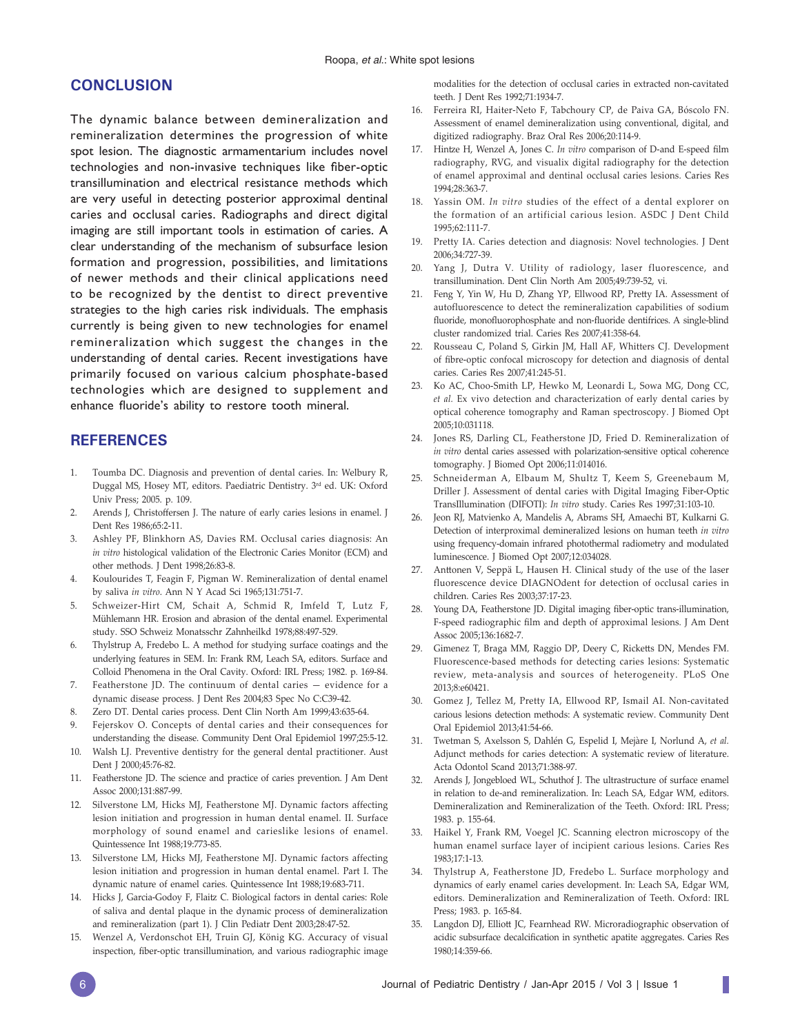## **CONCLUSION**

The dynamic balance between demineralization and remineralization determines the progression of white spot lesion. The diagnostic armamentarium includes novel technologies and non-invasive techniques like fiber-optic transillumination and electrical resistance methods which are very useful in detecting posterior approximal dentinal caries and occlusal caries. Radiographs and direct digital imaging are still important tools in estimation of caries. A clear understanding of the mechanism of subsurface lesion formation and progression, possibilities, and limitations of newer methods and their clinical applications need to be recognized by the dentist to direct preventive strategies to the high caries risk individuals. The emphasis currently is being given to new technologies for enamel remineralization which suggest the changes in the understanding of dental caries. Recent investigations have primarily focused on various calcium phosphate-based technologies which are designed to supplement and enhance fluoride's ability to restore tooth mineral.

## **REFERENCES**

- 1. Toumba DC. Diagnosis and prevention of dental caries. In: Welbury R, Duggal MS, Hosey MT, editors. Paediatric Dentistry. 3rd ed. UK: Oxford Univ Press; 2005. p. 109.
- 2. Arends J, Christoffersen J. The nature of early caries lesions in enamel. J Dent Res 1986;65:2-11.
- 3. Ashley PF, Blinkhorn AS, Davies RM. Occlusal caries diagnosis: An *in vitro* histological validation of the Electronic Caries Monitor (ECM) and other methods. J Dent 1998;26:83-8.
- 4. Koulourides T, Feagin F, Pigman W. Remineralization of dental enamel by saliva *in vitro*. Ann N Y Acad Sci 1965;131:751-7.
- 5. Schweizer-Hirt CM, Schait A, Schmid R, Imfeld T, Lutz F, Mühlemann HR. Erosion and abrasion of the dental enamel. Experimental study. SSO Schweiz Monatsschr Zahnheilkd 1978;88:497-529.
- 6. Thylstrup A, Fredebo L. A method for studying surface coatings and the underlying features in SEM. In: Frank RM, Leach SA, editors. Surface and Colloid Phenomena in the Oral Cavity. Oxford: IRL Press; 1982. p. 169-84.
- 7. Featherstone JD. The continuum of dental caries evidence for a dynamic disease process. J Dent Res 2004;83 Spec No C:C39-42.
- 8. Zero DT. Dental caries process. Dent Clin North Am 1999;43:635-64.
- 9. Fejerskov O. Concepts of dental caries and their consequences for understanding the disease. Community Dent Oral Epidemiol 1997;25:5-12.
- 10. Walsh LJ. Preventive dentistry for the general dental practitioner. Aust Dent J 2000;45:76-82.
- 11. Featherstone JD. The science and practice of caries prevention. J Am Dent Assoc 2000;131:887-99.
- 12. Silverstone LM, Hicks MJ, Featherstone MJ. Dynamic factors affecting lesion initiation and progression in human dental enamel. II. Surface morphology of sound enamel and carieslike lesions of enamel. Quintessence Int 1988;19:773-85.
- 13. Silverstone LM, Hicks MJ, Featherstone MJ. Dynamic factors affecting lesion initiation and progression in human dental enamel. Part I. The dynamic nature of enamel caries. Quintessence Int 1988;19:683-711.
- 14. Hicks J, Garcia-Godoy F, Flaitz C. Biological factors in dental caries: Role of saliva and dental plaque in the dynamic process of demineralization and remineralization (part 1). J Clin Pediatr Dent 2003;28:47-52.
- 15. Wenzel A, Verdonschot EH, Truin GJ, König KG. Accuracy of visual inspection, fiber-optic transillumination, and various radiographic image

modalities for the detection of occlusal caries in extracted non-cavitated teeth. J Dent Res 1992;71:1934-7.

- 16. Ferreira RI, Haiter-Neto F, Tabchoury CP, de Paiva GA, Bóscolo FN. Assessment of enamel demineralization using conventional, digital, and digitized radiography. Braz Oral Res 2006;20:114-9.
- 17. Hintze H, Wenzel A, Jones C. In vitro comparison of D-and E-speed film radiography, RVG, and visualix digital radiography for the detection of enamel approximal and dentinal occlusal caries lesions. Caries Res 1994;28:363-7.
- 18. Yassin OM. *In vitro* studies of the effect of a dental explorer on the formation of an artificial carious lesion. ASDC J Dent Child 1995;62:111-7.
- 19. Pretty IA. Caries detection and diagnosis: Novel technologies. J Dent 2006;34:727-39.
- 20. Yang J, Dutra V. Utility of radiology, laser fluorescence, and transillumination. Dent Clin North Am 2005;49:739-52, vi.
- 21. Feng Y, Yin W, Hu D, Zhang YP, Ellwood RP, Pretty IA. Assessment of autofluorescence to detect the remineralization capabilities of sodium fluoride, monofluorophosphate and non-fluoride dentifrices. A single-blind cluster randomized trial. Caries Res 2007;41:358-64.
- 22. Rousseau C, Poland S, Girkin JM, Hall AF, Whitters CJ. Development of fibre-optic confocal microscopy for detection and diagnosis of dental caries. Caries Res 2007;41:245-51.
- 23. Ko AC, Choo-Smith LP, Hewko M, Leonardi L, Sowa MG, Dong CC, *et al.* Ex vivo detection and characterization of early dental caries by optical coherence tomography and Raman spectroscopy. J Biomed Opt 2005;10:031118.
- 24. Jones RS, Darling CL, Featherstone JD, Fried D. Remineralization of *in vitro* dental caries assessed with polarization-sensitive optical coherence tomography. J Biomed Opt 2006;11:014016.
- 25. Schneiderman A, Elbaum M, Shultz T, Keem S, Greenebaum M, Driller J. Assessment of dental caries with Digital Imaging Fiber-Optic TransIllumination (DIFOTI): *In vitro* study. Caries Res 1997;31:103-10.
- 26. Jeon RJ, Matvienko A, Mandelis A, Abrams SH, Amaechi BT, Kulkarni G. Detection of interproximal demineralized lesions on human teeth *in vitro* using frequency-domain infrared photothermal radiometry and modulated luminescence. J Biomed Opt 2007;12:034028.
- 27. Anttonen V, Seppä L, Hausen H. Clinical study of the use of the laser fluorescence device DIAGNOdent for detection of occlusal caries in children. Caries Res 2003;37:17-23.
- 28. Young DA, Featherstone JD. Digital imaging fiber-optic trans-illumination, F-speed radiographic film and depth of approximal lesions. J Am Dent Assoc 2005;136:1682-7.
- 29. Gimenez T, Braga MM, Raggio DP, Deery C, Ricketts DN, Mendes FM. Fluorescence-based methods for detecting caries lesions: Systematic review, meta-analysis and sources of heterogeneity. PLoS One 2013;8:e60421.
- 30. Gomez J, Tellez M, Pretty IA, Ellwood RP, Ismail AI. Non-cavitated carious lesions detection methods: A systematic review. Community Dent Oral Epidemiol 2013;41:54-66.
- 31. Twetman S, Axelsson S, Dahlén G, Espelid I, Mejàre I, Norlund A, *et al.* Adjunct methods for caries detection: A systematic review of literature. Acta Odontol Scand 2013;71:388-97.
- 32. Arends J, Jongebloed WL, Schuthof J. The ultrastructure of surface enamel in relation to de-and remineralization. In: Leach SA, Edgar WM, editors. Demineralization and Remineralization of the Teeth. Oxford: IRL Press; 1983. p. 155-64.
- 33. Haikel Y, Frank RM, Voegel JC. Scanning electron microscopy of the human enamel surface layer of incipient carious lesions. Caries Res 1983;17:1-13.
- 34. Thylstrup A, Featherstone JD, Fredebo L. Surface morphology and dynamics of early enamel caries development. In: Leach SA, Edgar WM, editors. Demineralization and Remineralization of Teeth. Oxford: IRL Press; 1983. p. 165-84.
- 35. Langdon DJ, Elliott JC, Fearnhead RW. Microradiographic observation of acidic subsurface decalcification in synthetic apatite aggregates. Caries Res 1980;14:359-66.